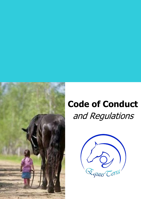

# **Code of Conduct**  and Regulations

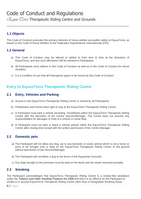## Code of Conduct and Regulations

*EquusTerra* Therapeutic Riding Centre and Grounds

### **1.1 Objects**

This Code of Conduct promotes the primary interests of horse welfare and public safety at EquusTerra, as based on the Code of Horse Welfare of the Federation Equestrienne Internationale (FEI).

\_\_\_\_\_\_\_\_\_\_\_\_\_\_\_\_\_\_\_\_\_\_\_\_\_\_\_\_\_\_\_\_\_\_\_\_\_\_\_\_\_\_\_\_\_\_\_\_\_\_\_\_\_\_\_\_\_\_\_

#### **1.2 General**

- a) This Code of Conduct may be altered or added to from time to time at the discretion of EquusTerra, and any such alterations will be advised to Participants.
- *b)* All Participants must adhere to this Code of Conduct as well as to the *Code of Conduct for Horse Activities.*
- c) It is a condition of use that all Participants agree to be bound by this Code of Conduct.

## **Entry to EquusTerra Therapeutic Riding Centre**

#### **2.1 Entry, Vehicles and Parking**

- *a)* Access to the EquusTerra Therapeutic Riding Centre is shared by all Participants.
- *b)* Pedestrians and horses have right of way at the EquusTerra Therapeutic Riding Centre.
- *c)* A Participant must park a vehicle (including horsefloats) within the EquusTerra Therapeutic Riding Centre with the discretion of the Centre Director/Manager. The Centre does not assume any responsibilities for damages or theft of a vehicle or horse float.
- *d)* A Participant must not park or leave a vehicle parked within the EquusTerra Therapeutic Riding Centre after closing time except with the written permission of the Centre Manager.

#### **2.2 Domestic pets**

- *a)* The Participant will not allow any dog, cat or any domestic or exotic animal which is not a horse or pony to be brought onto or kept on the EquusTerra Therapeutic Riding Centre or the ground without permission of the Director/Manager.
- *b)* The Participant will not tether a dog to the fence of the Equestrian Grounds.
- *c)* Any dogs brought to the premises must be kept on the leash and the waste removed promptly.

#### **2.3 Smoking**

The Participant acknowledges that EquusTerra Therapeutic Riding Centre is a smoke-free workplace under the *Tobacco and Other Smoking Products Act 1998* and that it is an offence for the Participant to smoke in or around EquusTerra Therapeutic Riding Centre other than in Designated Smoking Areas.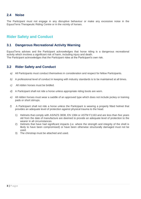#### **2.4 Noise**

The Participant must not engage in any disruptive behaviour or make any excessive noise in the EquusTerra Therapeutic Riding Centre or in the vicinity of horses.

## **Rider Safety and Conduct**

#### **3.1 Dangerous Recreational Activity Warning**

EquusTerra advises and the Participant acknowledges that horse riding is a dangerous recreational activity which involves a significant risk of harm, including injury and death. The Participant acknowledges that the Participant rides at the Participant's own risk.

#### **3.2 Rider Safety and Conduct**

- *a)* All Participants must conduct themselves in consideration and respect for fellow Participants.
- *b)* A professional level of conduct in keeping with industry standards is to be maintained at all times.
- *c)* All ridden horses must be bridled.
- *d)* A Participant shall not ride a horse unless appropriate riding boots are worn.
- *e)* All ridden horses must wear a saddle of an approved type which does not include jockey or training pads or short stirrups.
- *f)* A Participant shall not ride a horse unless the Participant is wearing a properly fitted helmet that provides an adequate level of protection against physical trauma to the head.
	- 1) Helmets that comply with AS/NZS 3838, EN 1384 or ASTM F1163 and are less than five years old from the date of manufacture are deemed to provide an adequate level of protection to the wearer in all circumstances.
	- 2) Helmets that have had significant impacts (i.e. where the strength and integrity of the shell is likely to have been compromised) or have been otherwise structurally damaged must not be used.
	- 3) The chinstrap must be attached and used.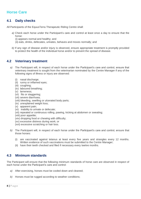## **Horse Care**

#### **4.1 Daily checks**

All Participants of the EquusTerra Therapeutic Riding Centre shall:

*a)* Check each horse under the Participant's care and control at least once a day to ensure that the horse:

(i) appears normal and healthy; and

(ii) eats, drinks, defecates, urinates, behaves and moves normally; and

*b)* If any sign of disease and/or injury is observed, ensure appropriate treatment is promptly provided to protect the health of the individual horse and/or to prevent the spread of disease.

#### **4.2 Veterinary treatment**

- *a)* The Participant will, in respect of each horse under the Participant's care and control, ensure that veterinary treatment is sought from the veterinarian nominated by the Centre Manager if any of the following signs of illness or injury are observed:
	- (i) nasal discharge:
	- (ii) runny or inflamed eyes;
	- (iii) coughing;
	- (iv) laboured breathing;
	- (v) lameness;
	- (vi) fits or staggering;
	- (vii) severe diarrhoea;
	- (viii) bleeding, swelling or ulcerated body parts;
	- (ix) unexplained weight loss;
	- (x) apparent pain;
	- (xi) inability to urinate or defecate;
	- (xii) repeated or continuous rolling, pawing, kicking at abdomen or sweating;
	- (xiii) poor appetite;
	- (xiv) dropping food or chewing with difficulty;
	- (xv) excessive distress during work; or
	- (xvi) excessive scratching or hair loss.
- *b)* The Participant will, in respect of each horse under the Participant's care and control, ensure that those horses:
	- (i) are vaccinated against tetanus at least every five years and strangles every 12 months. Written evidence of such vaccinations must be submitted to the Centre Manager;
	- (ii) have their teeth checked and filed if necessary every twelve months.

#### **4.3 Minimum standards**

The Participant will ensure that the following minimum standards of horse care are observed in respect of each horse under the Participant's care and control:

- *a)* After exercising, horses must be cooled down and cleaned;
- *b)* Horses must be rugged according to weather conditions;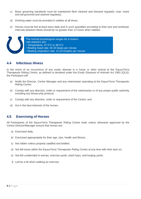- *c)* Basic grooming standards must be maintained (feet cleaned and dressed regularly; coat, mane and tail groomed and washed regularly);
- *d)* Drinking water must be provided in stables at all times;
- *e)* Horses must be fed at least twice daily and in such quantities according to their size and workload. Intervals between feeds should be no greater than 12 hours when stabled.



#### **4.4 Infectious illness**

In the event of an occurrence of any exotic disease in a horse or other animal at the EquusTerra Therapeutic Riding Centre, as defined or declared under the *Exotic Diseases of Animals Act 1981 (QLD)*, the Participant will:

- *a)* Notify the Director, Centre Manager and any veterinarian operating at the EquusTerra Therapeutic Riding Centre;
- *b)* Comply with any direction, order or requirement of the veterinarian or of any proper public authority including any biosecurity protocol;
- *c)* Comply with any direction, order or requirement of the Centre; and
- *d)* Act in the best interests of the horses.

#### **4.5 Exercising of Horses**

All Participants of the EquusTerra Therapeutic Riding Centre shall, unless otherwise approved by the Centre Director/Manager ensure that horses are:

- *a)* Exercised daily;
- *b)* Exercised appropriately for their age, size, health and fitness;
- *c)* Not ridden unless properly saddled and bridled;
- *d)* Not left loose within the EquusTerra Therapeutic Riding Centre at any time with their tack on;
- *e)* Not left unattended in arenas, exercise yards, wash bays, and lunging yards;
- *f)* Led by a bit when walking as exercise.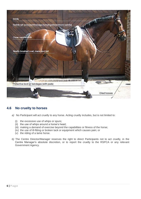

#### **4.6 No cruelty to horses**

- *a)* No Participant will act cruelly to any horse. Acting cruelly includes, but is not limited to:
	- (i) the excessive use of whips or spurs;
	- (ii) the use of whips around a horse's head;
	- (iii) making a demand of exercise beyond the capabilities or fitness of the horse;
	- (iv) the use of ill-fitting or broken tack or equipment which causes pain; or
	- (v) the riding of a lame horse.
- *b)* The Centre Director/Manager reserves the right to direct Participants not to act cruelly, in the Centre Manager's absolute discretion, or to report the cruelty to the RSPCA or any relevant Government Agency.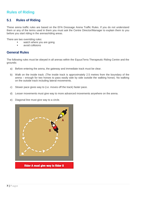## **Rules of Riding**

#### **5.1 Rules of Riding**

These arena traffic rules are based on the EFA Dressage Arena Traffic Rules. If you do not understand them or any of the terms used in them you must ask the Centre Director/Manager to explain them to you before you start riding in the arenas/riding areas.

There are two overriding rules:

- **watch where you are going**
- **avoid collisions**

#### **General Rules**

The following rules must be obeyed in all arenas within the EquusTerra Therapeutic Riding Centre and the grounds:

- a) Before entering the arena, the gateway and immediate track must be clear.
- b) Walk on the inside track. (The inside track is approximately 2.5 metres from the boundary of the arena – enough for two horses to pass easily side by side outside the walking horse). No walking on the outside track including lateral movements.
- c) Slower pace gives way to (i.e. moves off the track) faster pace.
- d) Lesser movements must give way to more advanced movements anywhere on the arena.
- e) Diagonal line must give way to a circle.

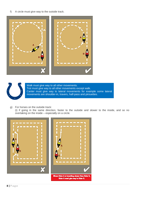f) A circle must give way to the outside track.





Walk must give way to all other movements. Trot must give way to all other movements except walk. Canter must give way to lateral movements for example some lateral movements are shoulder-in, travers, half-pass and pirouettes.

g) For horses on the outside track:

(i) if going in the same direction, faster to the outside and slower to the inside, and so no overtaking on the inside – especially on a circle.

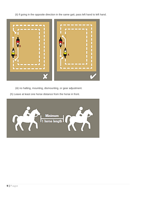(ii) if going in the opposite direction in the same gait, pass left hand to left hand.



(iii) no halting, mounting, dismounting, or gear adjustment.

(h) Leave at least one horse distance from the horse in front.